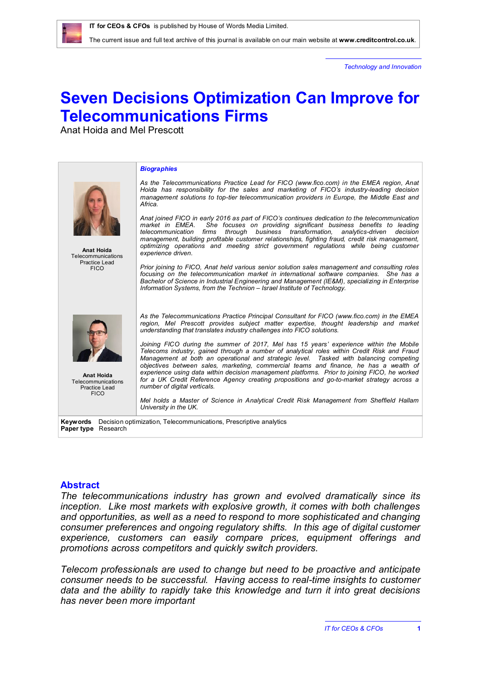*Technology and Innovation*

# **Seven Decisions Optimization Can Improve for Telecommunications Firms**

Anat Hoida and Mel Prescott



#### **Abstract**

*The telecommunications industry has grown and evolved dramatically since its inception. Like most markets with explosive growth, it comes with both challenges and opportunities, as well as a need to respond to more sophisticated and changing consumer preferences and ongoing regulatory shifts. In this age of digital customer experience, customers can easily compare prices, equipment offerings and promotions across competitors and quickly switch providers.* 

*Telecom professionals are used to change but need to be proactive and anticipate consumer needs to be successful. Having access to real-time insights to customer data and the ability to rapidly take this knowledge and turn it into great decisions has never been more important*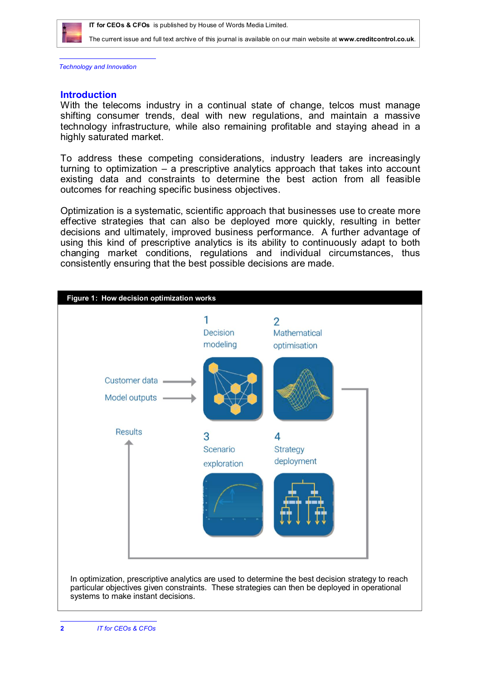

*Technology and Innovation*

#### **Introduction**

With the telecoms industry in a continual state of change, telcos must manage shifting consumer trends, deal with new regulations, and maintain a massive technology infrastructure, while also remaining profitable and staying ahead in a highly saturated market.

To address these competing considerations, industry leaders are increasingly turning to optimization – a prescriptive analytics approach that takes into account existing data and constraints to determine the best action from all feasible outcomes for reaching specific business objectives.

Optimization is a systematic, scientific approach that businesses use to create more effective strategies that can also be deployed more quickly, resulting in better decisions and ultimately, improved business performance. A further advantage of using this kind of prescriptive analytics is its ability to continuously adapt to both changing market conditions, regulations and individual circumstances, thus consistently ensuring that the best possible decisions are made.

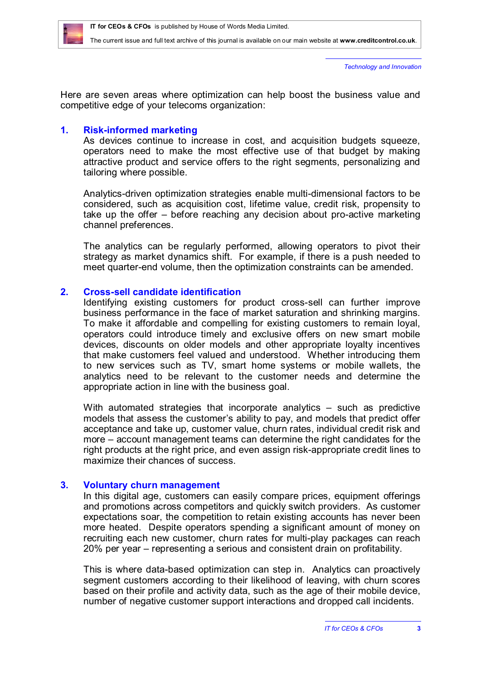

*Technology and Innovation*

Here are seven areas where optimization can help boost the business value and competitive edge of your telecoms organization:

# **1. Risk-informed marketing**

As devices continue to increase in cost, and acquisition budgets squeeze, operators need to make the most effective use of that budget by making attractive product and service offers to the right segments, personalizing and tailoring where possible.

Analytics-driven optimization strategies enable multi-dimensional factors to be considered, such as acquisition cost, lifetime value, credit risk, propensity to take up the offer – before reaching any decision about pro-active marketing channel preferences.

The analytics can be regularly performed, allowing operators to pivot their strategy as market dynamics shift. For example, if there is a push needed to meet quarter-end volume, then the optimization constraints can be amended.

# **2. Cross-sell candidate identification**

Identifying existing customers for product cross-sell can further improve business performance in the face of market saturation and shrinking margins. To make it affordable and compelling for existing customers to remain loyal, operators could introduce timely and exclusive offers on new smart mobile devices, discounts on older models and other appropriate loyalty incentives that make customers feel valued and understood. Whether introducing them to new services such as TV, smart home systems or mobile wallets, the analytics need to be relevant to the customer needs and determine the appropriate action in line with the business goal.

With automated strategies that incorporate analytics – such as predictive models that assess the customer's ability to pay, and models that predict offer acceptance and take up, customer value, churn rates, individual credit risk and more – account management teams can determine the right candidates for the right products at the right price, and even assign risk-appropriate credit lines to maximize their chances of success.

## **3. Voluntary churn management**

In this digital age, customers can easily compare prices, equipment offerings and promotions across competitors and quickly switch providers. As customer expectations soar, the competition to retain existing accounts has never been more heated. Despite operators spending a significant amount of money on recruiting each new customer, churn rates for multi-play packages can reach 20% per year – representing a serious and consistent drain on profitability.

This is where data-based optimization can step in. Analytics can proactively segment customers according to their likelihood of leaving, with churn scores based on their profile and activity data, such as the age of their mobile device, number of negative customer support interactions and dropped call incidents.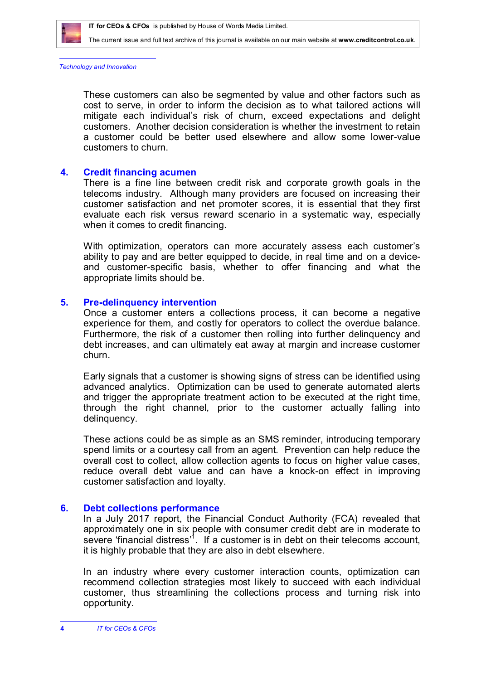

*Technology and Innovation*

These customers can also be segmented by value and other factors such as cost to serve, in order to inform the decision as to what tailored actions will mitigate each individual's risk of churn, exceed expectations and delight customers. Another decision consideration is whether the investment to retain a customer could be better used elsewhere and allow some lower-value customers to churn.

#### **4. Credit financing acumen**

There is a fine line between credit risk and corporate growth goals in the telecoms industry. Although many providers are focused on increasing their customer satisfaction and net promoter scores, it is essential that they first evaluate each risk versus reward scenario in a systematic way, especially when it comes to credit financing.

With optimization, operators can more accurately assess each customer's ability to pay and are better equipped to decide, in real time and on a deviceand customer-specific basis, whether to offer financing and what the appropriate limits should be.

#### **5. Pre-delinquency intervention**

Once a customer enters a collections process, it can become a negative experience for them, and costly for operators to collect the overdue balance. Furthermore, the risk of a customer then rolling into further delinquency and debt increases, and can ultimately eat away at margin and increase customer churn.

Early signals that a customer is showing signs of stress can be identified using advanced analytics. Optimization can be used to generate automated alerts and trigger the appropriate treatment action to be executed at the right time, through the right channel, prior to the customer actually falling into delinquency.

These actions could be as simple as an SMS reminder, introducing temporary spend limits or a courtesy call from an agent. Prevention can help reduce the overall cost to collect, allow collection agents to focus on higher value cases, reduce overall debt value and can have a knock-on effect in improving customer satisfaction and loyalty.

## **6. Debt collections performance**

In a July 2017 report, the Financial Conduct Authority (FCA) revealed that approximately one in six people with consumer credit debt are in moderate to severe 'financial distress'<sup>1</sup>. If a customer is in debt on their telecoms account, it is highly probable that they are also in debt elsewhere.

In an industry where every customer interaction counts, optimization can recommend collection strategies most likely to succeed with each individual customer, thus streamlining the collections process and turning risk into opportunity.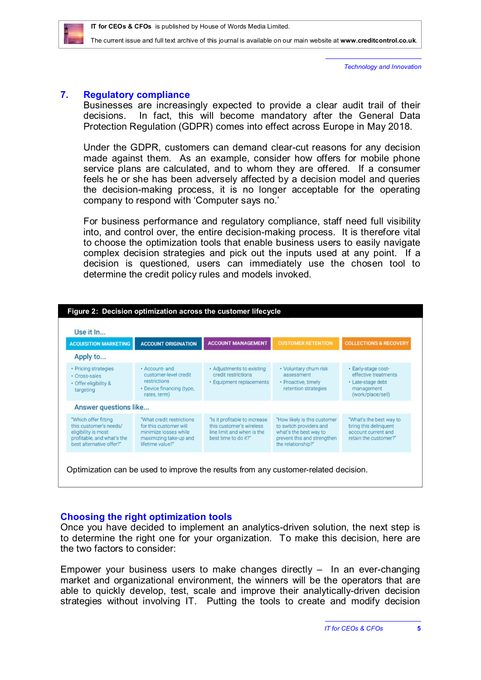

*Technology and Innovation*

## **7. Regulatory compliance**

Businesses are increasingly expected to provide a clear audit trail of their decisions. In fact, this will become mandatory after the General Data Protection Regulation (GDPR) comes into effect across Europe in May 2018.

Under the GDPR, customers can demand clear-cut reasons for any decision made against them. As an example, consider how offers for mobile phone service plans are calculated, and to whom they are offered. If a consumer feels he or she has been adversely affected by a decision model and queries the decision-making process, it is no longer acceptable for the operating company to respond with 'Computer says no.'

For business performance and regulatory compliance, staff need full visibility into, and control over, the entire decision-making process. It is therefore vital to choose the optimization tools that enable business users to easily navigate complex decision strategies and pick out the inputs used at any point. If a decision is questioned, users can immediately use the chosen tool to determine the credit policy rules and models invoked.

| Use it In                                                                                                                       |                                                                                                                             |                                                                                                                 |                                                                                                                                        |                                                                                                     |
|---------------------------------------------------------------------------------------------------------------------------------|-----------------------------------------------------------------------------------------------------------------------------|-----------------------------------------------------------------------------------------------------------------|----------------------------------------------------------------------------------------------------------------------------------------|-----------------------------------------------------------------------------------------------------|
| <b>ACQUISITION MARKETING</b>                                                                                                    | <b>ACCOUNT ORIGINATION</b>                                                                                                  | <b>ACCOUNT MANAGEMENT</b>                                                                                       | <b>CUSTOMER RETENTION</b>                                                                                                              | <b>COLLECTIONS &amp; RECOVERY</b>                                                                   |
| Apply to                                                                                                                        |                                                                                                                             |                                                                                                                 |                                                                                                                                        |                                                                                                     |
| • Pricing strategies<br>· Cross-sales<br>· Offer eligibility &<br>targeting                                                     | · Account- and<br>customer-level credit<br>restrictions<br>• Device financing (type,<br>rates, term)                        | • Adjustments to existing<br>credit restrictions<br>· Equipment replacements                                    | • Voluntary churn risk<br>assessment<br>· Proactive, timely<br>retention strategies                                                    | · Early-stage cost-<br>effective treatments<br>· Late-stage debt<br>management<br>(work/place/sell) |
| Answer questions like                                                                                                           |                                                                                                                             |                                                                                                                 |                                                                                                                                        |                                                                                                     |
| "Which offer fitting<br>this customer's needs/<br>eligibility is most<br>profitable, and what's the<br>best alternative offer?" | "What credit restrictions"<br>for this customer will<br>minimize losses while<br>maximizing take-up and<br>lifetime value?" | "Is it profitable to increase<br>this customer's wireless<br>line limit and when is the<br>best time to do it?" | "How likely is this customer<br>to switch providers and<br>what's the best way to<br>prevent this and strengthen<br>the relationship?" | "What's the best way to<br>bring this delinquent<br>account current and<br>retain the customer?"    |

## **Choosing the right optimization tools**

Once you have decided to implement an analytics-driven solution, the next step is to determine the right one for your organization. To make this decision, here are the two factors to consider:

Empower your business users to make changes directly  $-$  In an ever-changing market and organizational environment, the winners will be the operators that are able to quickly develop, test, scale and improve their analytically-driven decision strategies without involving IT. Putting the tools to create and modify decision